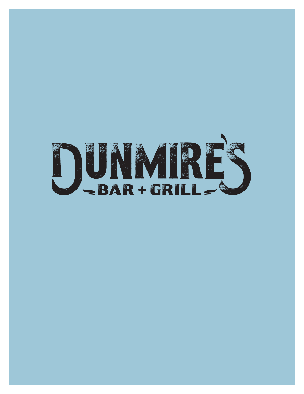# DUNMIRES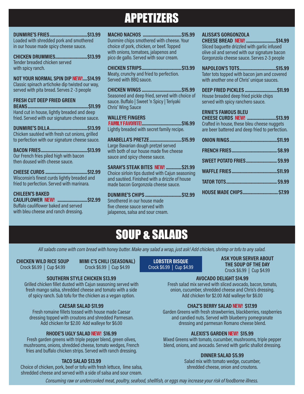# APPETIZERS

**DUNMIRE'S FRIES..................................\$13.99** Loaded with shredded pork and smothered in our house made spicy cheese sauce.

**CHICKEN DRUMMIES.............................\$13.99** Tender breaded chicken served with spicy ranch.

**NOT YOUR NORMAL SPIN DIP** NEW!**....\$14.99** Classic spinach artichoke dip twisted our way, served with pita bread. Serves 2 -3 people

### **FRESH CUT DEEP FRIED GREEN**

**BEANS.......................................................\$11.99** Hand cut in house, lightly breaded and deep fried. Served with our signature cheese sauce.

**DUNMIRE'S DILLA..................................\$13.99** Chicken sautéed with fresh cut onions, grilled to perfection with our signature cheese sauce.

**BACON FRIES..........................................\$13.99** Our French fries piled high with bacon then doused with cheese sauce.

**CHEESE CURDS ......................................\$12.99** Wisconsin's finest curds lightly breaded and fried to perfection. Served with marinara.

**CHILEEN'S BAKED CAULIFLOWER** NEW! **...........................\$12.99** Buffalo cauliflower baked and served with bleu cheese and ranch dressing.

**MACHO NACHOS ...................................\$15.99** Dunmire chips smothered with cheese. Your choice of pork, chicken, or beef. Topped

with onions, tomatoes, jalapenos and pico de gallo. Served with sour cream. **CHICKEN STRIPS....................................\$13.99**

Meaty, crunchy and fried to perfection. Served with BBQ sauce.

**CHICKEN WINGS ....................................\$15.99** Seasoned and deep fried, served with choice of sauce. Buffalo | Sweet 'n Spicy | Teriyaki Chris' Wing Sauce

### **WALLEYE FINGERS**

 FAMILY FAVORITE!**....................................\$16.99** Lightly breaded with secret family recipe.

**ARABELLA'S PRETZE.............................\$15.99** Large Bavarian dough pretzel served with both of our house made five cheese sauce and spicy cheese sauce.

**SARAH'S STEAK BITES** NEW! **..............\$21.99** Choice sirloin tips dusted with Cajun seasoning and sautéed. Finished with a drizzle of house made bacon Gorgonzola cheese sauce.

**DUNMIRE'S CHIPS .................................\$12.99** Smothered in our house made five cheese sauce served with jalapenos, salsa and sour cream.

### **ALISSA'S GORGONZOLA**

**CHEESE BREAD** NEW! **...........................\$14.99** Sliced baguette drizzled with garlic infused olive oil and served with our signature bacon Gorgonzola cheese sauce. Serves 2-3 people

**NAPOLEON'S TOTS.................................\$15.99** Tater tots topped with bacon jam and covered with another one of Chris' unique sauces.

**DEEP FRIED PICKLES .............................\$11.99** House breaded deep fried pickle chips served with spicy ranchero sauce.

### **ERNIE'S FAMOUS BLEU**

**CHEESE CURDS** NEW! **..........................\$13.99** Crafted in house, these bleu cheese nuggets are beer battered and deep fried to perfection.

| SWEET POTATO FRIES \$9.99      |  |
|--------------------------------|--|
|                                |  |
|                                |  |
| <b>HOUSE MADE CHIPS \$7.99</b> |  |

# SOUP & SALADS

*All salads come with corn bread with honey butter. Make any salad a wrap, just ask! Add chicken, shrimp or tofu to any salad.*

**CHICKEN WILD RICE SOUP** Crock \$6.99 | Cup \$4.99

**MIMI C'S CHILI (SEASONAL)** Crock \$6.99 | Cup \$4.99

### **SOUTHERN STYLE CHICKEN \$13.99**

Grilled chicken fillet dusted with Cajun seasoning served with fresh mango salsa, shredded cheese and tomato with a side of spicy ranch. Sub tofu for the chicken as a vegan option.

### **CAESAR SALAD \$11.99**

Fresh romaine fillets tossed with house made Caesar dressing topped with croutons and shredded Parmesan. Add chicken for \$2.00 Add walleye for \$6.00

### **RHODE'S UGLY SALAD** NEW! **\$16.99**

Fresh garden greens with triple pepper blend, green olives, mushrooms, onions, shredded cheese, tomato wedges, French fries and buffalo chicken strips. Served with ranch dressing.

### **TACO SALAD \$13.99**

Choice of chicken, pork, beef or tofu with fresh lettuce, lime salsa, shredded cheese and served with a side of salsa and sour cream.

**LOBSTER BISQUE** Crock \$6.99 | Cup \$4.99 **ASK YOUR SERVER ABOUT THE SOUP OF THE DAY** Crock \$6.99 | Cup \$4.99

### **AVOCADO DELIGHT \$14.99**

Fresh salad mix served with sliced avocado, bacon, tomato, onion, cucumber, shredded cheese and Chris's dressing. Add chicken for \$2.00 Add walleye for \$6.00

### **CHAZ'S BERRY SALAD** NEW! **\$17.99**

Garden Greens with fresh strawberries, blackberries, raspberries and candied nuts. Served with blueberry pomegranate dressing and parmesan Romano cheese blend.

### **ALEXIS'S GARDEN** NEW! **\$15.99**

Mixed Greens with tomato, cucumber, mushrooms, triple pepper blend, onions, and avocado. Served with garlic shallot dressing.

### **DINNER SALAD \$5.99**

Salad mix with tomato wedge, cucumber, shredded cheese, onion and croutons.

*Consuming raw or undercooked meat, poultry, seafood, shellfish, or eggs may increase your risk of foodborne illness.*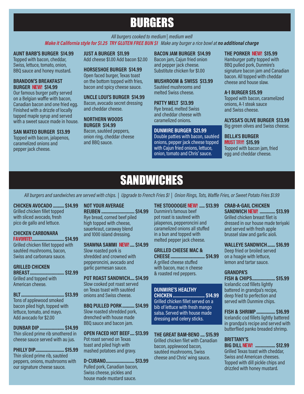# BURGERS

### *All burgers cooked to medium | medium well Make it California style for \$1.25 TRY GLUTEN FREE BUN \$1 Make any burger a rice bowl at no additional charge*

### **AUNT BARB'S BURGER \$14.99**

Topped with bacon, cheddar, Swiss, lettuce, tomato, onion, BBQ sauce and honey mustard.

### **BRANDON'S BREAKFAST BURGER** NEW! **\$14.99**

Our famous burger patty served on a Belgian waffle with bacon, Canadian bacon and one fried egg. Finished with a drizzle of locally tapped maple syrup and served with a sweet sauce made in house.

### **SAN MATEO BURGER \$13.99**

Topped with bacon, jalapenos, caramelized onions and pepper jack cheese.

**JUST A BURGER \$11.99** Add cheese \$1.00 Add bacon \$2.00

**HORSESHOE BURGER \$14.99** Open faced burger, Texas toast on the bottom topped with fries, bacon and spicy cheese sauce.

**UNCLE LOUI'S BURGER \$14.99** Bacon, avocado secret dressing and cheddar cheese.

### **NORTHERN WOODS BURGER \$14.99**

Bacon, sautéed peppers, onion ring, cheddar cheese and BBQ sauce.

**BACON JAM BURGER \$14.99** Bacon jam, Cajun fried onion and pepper jack cheese. Substitute chicken for \$1.00

**MUSHROOM & SWISS \$13.99** Sautéed mushrooms and melted Swiss cheese.

### **PATTY MELT \$13.99** Rye bread, melted Swiss and cheddar cheese with caramelized onions.

### **DUNMIRE BURGER \$21.99**

Double patties with bacon, sautéed onions, pepper jack cheese topped with Cajun fried onions, lettuce, onion, tomato and Chris' sauce.

### **THE PORKER** NEW! **\$15.99**

Hamburger patty topped with BBQ pulled pork, Dunmire's signature bacon jam and Canadian bacon. All topped with cheddar cheese and house slaw.

### **A-1 BURGER \$15.99**

Topped with bacon, caramelized onions, A-1 steak sauce and Swiss cheese.

**ALYSSA'S OLIVE BURGER \$13.99**

Big green olives and Swiss cheese.

### **BELLA'S BURGER**  MUST TRY! **\$15.99**

Topped with bacon jam, fried egg and cheddar cheese.

# SANDWICHES

*All burgers and sandwiches are served with chips. | Upgrade to French Fries \$1 | Onion Rings, Tots, Waffle Fries, or Sweet Potato Fries \$1.99*

### **CHICKEN AVOCADO .......... \$14.99**

Grilled chicken fillet topped with sliced avocado, fresh pico de gallo and lettuce.

### **CHICKEN CARBONARA**

FAVORITE!**............................. \$14.99** Grilled chicken fillet topped with sautéed mushrooms, bacon, Swiss and carbonara sauce.

### **GRILLED CHICKEN**

**BREAST............................... \$12.99** Grilled and topped with American cheese.

### **BLT....................................... \$13.99** Tons of applewood smoked bacon piled high, topped with lettuce, tomato, and mayo. Add avocado for \$2.00

**DUNBAR DIP ...................... \$14.99** Thin sliced prime rib smothered in cheese sauce served with au jus.

**PHILLY DIP.......................... \$15.99** Thin sliced prime rib, sautéed peppers, onions, mushrooms with our signature cheese sauce.

### **NOT YOUR AVERAGE**

**REUBEN .............................. \$14.99** Rye bread, corned beef piled high topped with cheese. sauerkraut, caraway blend and 1000 island dressing.

**SHAWNA SAMMI** NEW! **.... \$14.99** Slow roasted pork is shredded and crowned with pepperoncini, avocado and

garlic parmesan sauce. **POT ROAST SANDWICH.... \$14.99**

Slow cooked pot roast served on Texas toast with sautéed onions and Swiss cheese.

**BBQ PULLED PORK ........... \$14.99** Slow roasted shredded pork, drenched with house made BBQ sauce and bacon jam.

**OPEN FACED HOT BEEF.... \$13.99** Pot roast served on Texas toast and piled high with mashed potatoes and gravy.

**D-CUBANO.......................... \$13.99** Pulled pork, Canadian bacon, Swiss cheese, pickles and house made mustard sauce.

### **THE STOOOOGIE** NEW! **..... \$13.99** Dunmire's famous beef

pot roast is sauteed with jalapenos, pepperoncini and caramelized onions all stuffed in a bun and topped with melted pepper jack cheese.

### **GRILLED CHEESE MAC &**

**CHEESE............................... \$14.99** A grilled cheese stuffed with bacon, mac n cheese & roasted red peppers.

### **DUNMIRE'S HEALTHY**

**CHICKEN............................. \$14.99** Grilled chicken fillet served on a bib of lettuce with fresh mango salsa. Served with house made dressing and celery sticks.

### **THE GREAT BAM-BENO .... \$15.99** Grilled chicken filet with Canadian bacon, applewood bacon,

sautéed mushrooms, Swiss cheese and Chris' wing sauce.

### **CRAB-A-GAIL CHICKEN**

**SANDWICH** NEW! **.............. \$13.99** Grilled chicken breast filet is dressed in our house made teriyaki and served with fresh apple brussel slaw and garlic aioli.

### **WALLEYE SANDWICH....... \$16.99**

Deep fried or broiled served on a hoagie with lettuce, lemon and tartar sauce.

### **GRANDPA'S**

**FISH & CHIPS..................... \$15.99** Icelandic cod fillets lightly battered in grandpa's recipe, deep fried to perfection and served with Dunmire chips.

### **FISH & SHRIMP ................. \$16.99**

Icelandic cod fillets lightly battered in grandpa's recipe and served with butterflied panko breaded shrimp.

## **BRITTANY'S**

**BIG DILL** NEW! **.................. \$12.99** Grilled Texas toast with cheddar, Swiss and American cheeses. Topped with dill pickle chips and drizzled with honey mustard.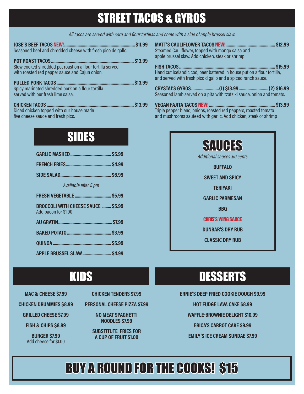# STREET TACOS & GYROS

*All tacos are served with corn and flour tortillas and come with a side of apple brussel slaw.*

| <b>JOSE'S BEEF TACOS NEW!</b>                                                                                                          | \$11.99       |
|----------------------------------------------------------------------------------------------------------------------------------------|---------------|
| Seasoned beef and shredded cheese with fresh pico de gallo.                                                                            |               |
| <b>POT ROAST TACOS.</b><br>Slow cooked shredded pot roast on a flour tortilla served<br>with roasted red pepper sauce and Cajun onion. | <b>S13.99</b> |
| <b>PULLED PORK TACOS</b>                                                                                                               | <b>S13.99</b> |
| Spicy marinated shredded pork on a flour tortilla<br>served with our fresh lime salsa.                                                 |               |
| <b>CHICKEN TACOS.</b>                                                                                                                  | <b>S13.99</b> |
| Diced chicken topped with our house made                                                                                               |               |
| five cheese sauce and fresh pico.                                                                                                      |               |
|                                                                                                                                        |               |
|                                                                                                                                        |               |

# SIDES

| Available after 5 pm                                              |  |
|-------------------------------------------------------------------|--|
|                                                                   |  |
| <b>BROCCOLI WITH CHEESE SAUCE  \$5.99</b><br>Add bacon for \$1.00 |  |
|                                                                   |  |
|                                                                   |  |
|                                                                   |  |
| APPLE BRUSSEL SLAW  \$4.99                                        |  |

**MATT'S CAULIFLOWER TACOS** NEW!**............................................. \$12.99** Steamed Cauliflower, topped with mango salsa and apple brussel slaw. Add chicken, steak or shrimp **FISH TACOS....................................................................................... \$15.99** Hand cut Icelandic cod, beer battered in house put on a flour tortilla, and served with fresh pico d gallo and a spiced ranch sauce.

**CRYSTAL'S GYROS.........................(1) \$13.99...........................(2) \$16.99** Seasoned lamb served on a pita with tzatziki sauce, onion and tomato.

**VEGAN FAJITA TACOS** NEW! **............................................................ \$13.99** Triple pepper blend, onions, roasted red peppers, roasted tomato and mushrooms sauteed with garlic. Add chicken, steak or shrimp

| <b>SAUGES</b><br>Additional sauces .60 cents |  |
|----------------------------------------------|--|
| <b>BUFFALO</b>                               |  |
| <b>SWEET AND SPICY</b>                       |  |
| <b>TERIYAKI</b>                              |  |
| <b>GARLIC PARMESAN</b>                       |  |
| <b>BBO</b>                                   |  |
| <b>CHRIS'S WING SAUCE</b>                    |  |
| <b>DUNBAR'S DRY RUB</b>                      |  |
| <b>CLASSIC DRY RUB</b>                       |  |
|                                              |  |

# **DESSERTS**

**ERNIE'S DEEP FRIED COOKIE DOUGH \$9.99 HOT FUDGE LAVA CAKE \$8.99 WAFFLE-BROWNIE DELIGHT \$10.99 ERICA'S CARROT CAKE \$9.99 EMILY'S ICE CREAM SUNDAE \$7.99**

# BUY A ROUND FOR THE COOKS! \$15

# **KIDS**

- **MAC & CHEESE \$7.99**
- **CHICKEN DRUMMIES \$8.99**

**GRILLED CHEESE \$7.99**

**FISH & CHIPS \$8.99**

**BURGER \$7.99** Add cheese for \$1.00 **CHICKEN TENDERS \$7.99**

**PERSONAL CHEESE PIZZA \$7.99**

**NO MEAT SPAGHETTI NOODLES \$7.99**

**SUBSTITUTE FRIES FOR A CUP OF FRUIT \$1.00**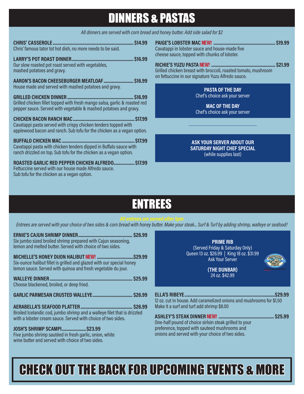# DINNERS & PASTAS

*All dinners are served with corn bread and honey butter. Add side salad for \$2*

| Chris' famous tator tot hot dish, no more needs to be said.                                                                                              |  |
|----------------------------------------------------------------------------------------------------------------------------------------------------------|--|
| Our slow roasted pot roast served with vegetables,<br>mashed potatoes and gravy.                                                                         |  |
| AARON'S BACON CHEESEBURGER MEATLOAF  \$16.99<br>House made and served with mashed potatoes and gravy.                                                    |  |
| Grilled chicken fillet topped with fresh mango salsa, garlic & roasted red<br>pepper sauce. Served with vegetable & mashed potatoes and gravy.           |  |
| Cavatappi pasta served with crispy chicken tenders topped with<br>applewood bacon and ranch. Sub tofu for the chicken as a vegan option.                 |  |
| Cavatappi pasta with chicken tenders dipped in Buffalo sauce with<br>ranch drizzled on top. Sub tofu for the chicken as a vegan option.                  |  |
| ROASTED GARLIC RED PEPPER CHICKEN ALFREDO \$17.99<br>Fettuccine served with our house made Alfredo sauce.<br>Sub tofu for the chicken as a vegan option. |  |

**PAIGE'S LOBSTER MAC** NEW! **........................................................ \$19.99** Cavatappi in lobster sauce and house-made five cheese sauce, topped with chunks of lobster.

**RICHIE'S YUZU PASTA** NEW! **.......................................................... \$21.99** Grilled chicken breast with broccoli, roasted tomato, mushroom on fettuccine in our signature Yuzu Alfredo sauce.

### **PASTA OF THE DAY** Chef's choice ask your server

**MAC OF THE DAY** Chef's choice ask your server

**ASK YOUR SERVER ABOUT OUR SATURDAY NIGHT CHEF SPECIAL** (while supplies last)

# ENTREES

*Entrees are served with your choice of two sides & corn bread with honey butter. Make your steak... Surf & Turf by adding shrimp, walleye or seafood!*

| Six jumbo sized broiled shrimp prepared with Cajun seasoning,<br>lemon and melted butter. Served with choice of two sides.<br>Six-ounce halibut fillet is grilled and glazed with our special honey<br>lemon sauce. Served with quinoa and fresh vegetable du jour.<br>Choose blackened, broiled, or deep fried. | <b>PRIME RIB</b><br>(Served Friday & Saturday Only)<br>Queen 13 oz. \$26.99   King 18 oz. \$31.99<br><b>Ask Your Server</b><br>(THE DUNBAR)<br>24 oz. \$42.99 |
|------------------------------------------------------------------------------------------------------------------------------------------------------------------------------------------------------------------------------------------------------------------------------------------------------------------|---------------------------------------------------------------------------------------------------------------------------------------------------------------|
|                                                                                                                                                                                                                                                                                                                  | 12 oz. cut in house. Add caramelized onions and mushrooms for \$1.50                                                                                          |
|                                                                                                                                                                                                                                                                                                                  | Make it a surf and turf add shrimp \$8.00                                                                                                                     |
| Broiled Icelandic cod, jumbo shrimp and a walleye filet that is drizzled                                                                                                                                                                                                                                         |                                                                                                                                                               |
| with a lobster cream sauce. Served with choice of two sides.                                                                                                                                                                                                                                                     | One-half pound of choice sirloin steak grilled to your                                                                                                        |
| <b>JOSH'S SHRIMP SCAMPI \$23.99</b>                                                                                                                                                                                                                                                                              | preference, topped with sauteed mushrooms and                                                                                                                 |
| Five jumbo shrimp sautéed in fresh garlic, onion, white                                                                                                                                                                                                                                                          | onions and served with your choice of two sides.                                                                                                              |
| wine butter and served with choice of two sides.                                                                                                                                                                                                                                                                 |                                                                                                                                                               |

# CHECK OUT THE BACK FOR UPCOMING EVENTS & MORE